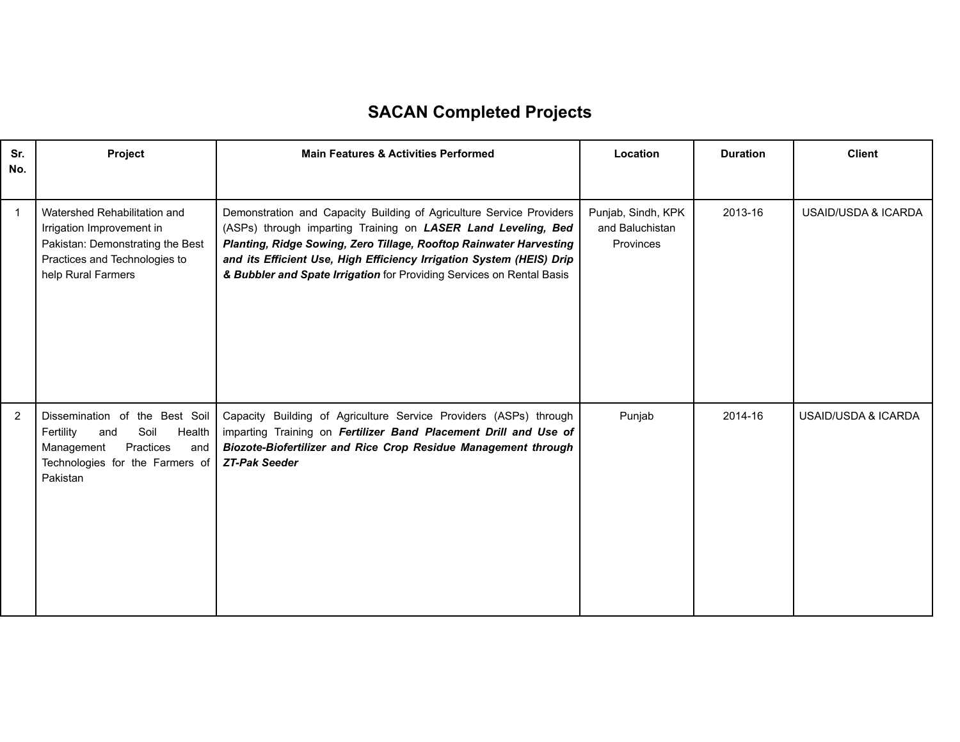## **SACAN Completed Projects**

| Sr.<br>No.     | Project                                                                                                                                               | <b>Main Features &amp; Activities Performed</b>                                                                                                                                                                                                                                                                                                              | Location                                           | <b>Duration</b> | <b>Client</b>       |
|----------------|-------------------------------------------------------------------------------------------------------------------------------------------------------|--------------------------------------------------------------------------------------------------------------------------------------------------------------------------------------------------------------------------------------------------------------------------------------------------------------------------------------------------------------|----------------------------------------------------|-----------------|---------------------|
| $\overline{1}$ | Watershed Rehabilitation and<br>Irrigation Improvement in<br>Pakistan: Demonstrating the Best<br>Practices and Technologies to<br>help Rural Farmers  | Demonstration and Capacity Building of Agriculture Service Providers<br>(ASPs) through imparting Training on LASER Land Leveling, Bed<br>Planting, Ridge Sowing, Zero Tillage, Rooftop Rainwater Harvesting<br>and its Efficient Use, High Efficiency Irrigation System (HEIS) Drip<br>& Bubbler and Spate Irrigation for Providing Services on Rental Basis | Punjab, Sindh, KPK<br>and Baluchistan<br>Provinces | 2013-16         | USAID/USDA & ICARDA |
| 2              | Dissemination of the Best Soil<br>Fertility<br>Soil<br>Health<br>and<br>Management<br>Practices<br>and<br>Technologies for the Farmers of<br>Pakistan | Capacity Building of Agriculture Service Providers (ASPs) through<br>imparting Training on Fertilizer Band Placement Drill and Use of<br>Biozote-Biofertilizer and Rice Crop Residue Management through<br><b>ZT-Pak Seeder</b>                                                                                                                              | Punjab                                             | 2014-16         | USAID/USDA & ICARDA |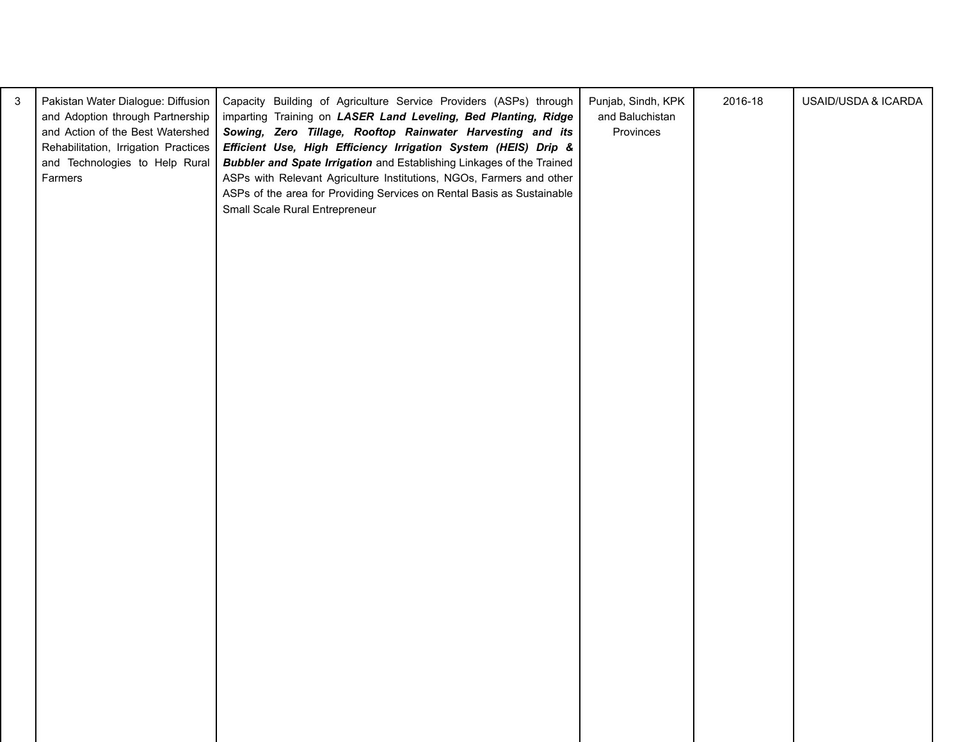| 3 | Pakistan Water Dialogue: Diffusion<br>and Adoption through Partnership<br>and Action of the Best Watershed<br>Rehabilitation, Irrigation Practices<br>and Technologies to Help Rural<br>Farmers | Capacity Building of Agriculture Service Providers (ASPs) through<br>imparting Training on LASER Land Leveling, Bed Planting, Ridge<br>Sowing, Zero Tillage, Rooftop Rainwater Harvesting and its<br>Efficient Use, High Efficiency Irrigation System (HEIS) Drip &<br><b>Bubbler and Spate Irrigation</b> and Establishing Linkages of the Trained<br>ASPs with Relevant Agriculture Institutions, NGOs, Farmers and other<br>ASPs of the area for Providing Services on Rental Basis as Sustainable<br>Small Scale Rural Entrepreneur | Punjab, Sindh, KPK<br>and Baluchistan<br>Provinces | 2016-18 | USAID/USDA & ICARDA |  |
|---|-------------------------------------------------------------------------------------------------------------------------------------------------------------------------------------------------|-----------------------------------------------------------------------------------------------------------------------------------------------------------------------------------------------------------------------------------------------------------------------------------------------------------------------------------------------------------------------------------------------------------------------------------------------------------------------------------------------------------------------------------------|----------------------------------------------------|---------|---------------------|--|
|   |                                                                                                                                                                                                 |                                                                                                                                                                                                                                                                                                                                                                                                                                                                                                                                         |                                                    |         |                     |  |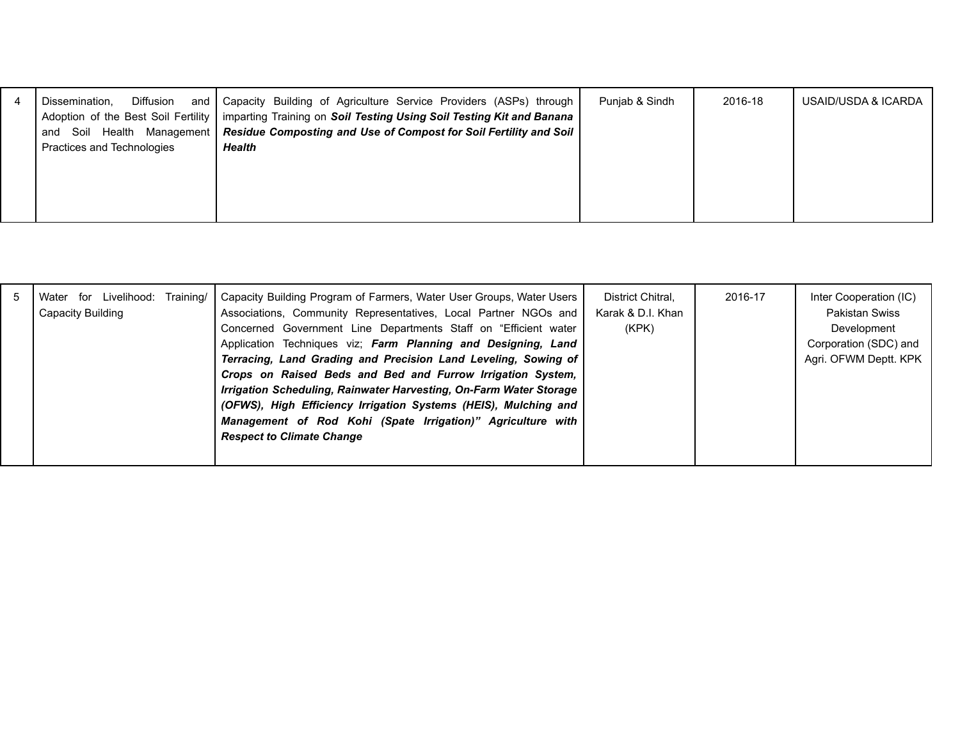| 4 | Diffusion<br>Dissemination. | and   Capacity Building of Agriculture Service Providers (ASPs) through                                    | Punjab & Sindh | 2016-18 | USAID/USDA & ICARDA |
|---|-----------------------------|------------------------------------------------------------------------------------------------------------|----------------|---------|---------------------|
|   |                             | Adoption of the Best Soil Fertility   imparting Training on Soil Testing Using Soil Testing Kit and Banana |                |         |                     |
|   |                             | and Soil Health Management   Residue Composting and Use of Compost for Soil Fertility and Soil             |                |         |                     |
|   | Practices and Technologies  | Health                                                                                                     |                |         |                     |
|   |                             |                                                                                                            |                |         |                     |
|   |                             |                                                                                                            |                |         |                     |
|   |                             |                                                                                                            |                |         |                     |
|   |                             |                                                                                                            |                |         |                     |
|   |                             |                                                                                                            |                |         |                     |

|  | Water for Livelihood:<br>Capacity Building | Training/ | Capacity Building Program of Farmers, Water User Groups, Water Users<br>Associations, Community Representatives, Local Partner NGOs and<br>Concerned Government Line Departments Staff on "Efficient water<br>Application Techniques viz; Farm Planning and Designing, Land<br>Terracing, Land Grading and Precision Land Leveling, Sowing of<br>Crops on Raised Beds and Bed and Furrow Irrigation System,<br>Irrigation Scheduling, Rainwater Harvesting, On-Farm Water Storage<br>(OFWS), High Efficiency Irrigation Systems (HEIS), Mulching and<br>Management of Rod Kohi (Spate Irrigation)" Agriculture with<br><b>Respect to Climate Change</b> | District Chitral.<br>Karak & D.I. Khan<br>(KPK) | 2016-17 | Inter Cooperation (IC)<br><b>Pakistan Swiss</b><br>Development<br>Corporation (SDC) and<br>Agri. OFWM Deptt. KPK |
|--|--------------------------------------------|-----------|---------------------------------------------------------------------------------------------------------------------------------------------------------------------------------------------------------------------------------------------------------------------------------------------------------------------------------------------------------------------------------------------------------------------------------------------------------------------------------------------------------------------------------------------------------------------------------------------------------------------------------------------------------|-------------------------------------------------|---------|------------------------------------------------------------------------------------------------------------------|
|--|--------------------------------------------|-----------|---------------------------------------------------------------------------------------------------------------------------------------------------------------------------------------------------------------------------------------------------------------------------------------------------------------------------------------------------------------------------------------------------------------------------------------------------------------------------------------------------------------------------------------------------------------------------------------------------------------------------------------------------------|-------------------------------------------------|---------|------------------------------------------------------------------------------------------------------------------|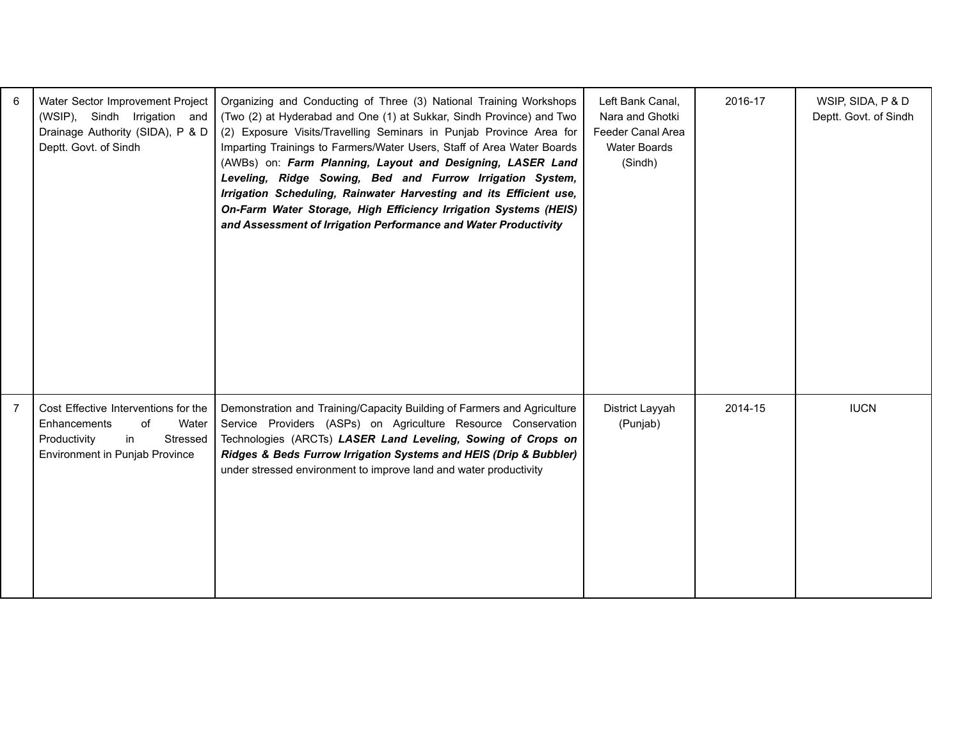| 6              | Water Sector Improvement Project<br>(WSIP), Sindh Irrigation and<br>Drainage Authority (SIDA), P & D<br>Deptt. Govt. of Sindh           | Organizing and Conducting of Three (3) National Training Workshops<br>(Two (2) at Hyderabad and One (1) at Sukkar, Sindh Province) and Two<br>(2) Exposure Visits/Travelling Seminars in Punjab Province Area for<br>Imparting Trainings to Farmers/Water Users, Staff of Area Water Boards<br>(AWBs) on: Farm Planning, Layout and Designing, LASER Land<br>Leveling, Ridge Sowing, Bed and Furrow Irrigation System,<br>Irrigation Scheduling, Rainwater Harvesting and its Efficient use,<br>On-Farm Water Storage, High Efficiency Irrigation Systems (HEIS)<br>and Assessment of Irrigation Performance and Water Productivity | Left Bank Canal,<br>Nara and Ghotki<br>Feeder Canal Area<br>Water Boards<br>(Sindh) | 2016-17 | WSIP, SIDA, P & D<br>Deptt. Govt. of Sindh |
|----------------|-----------------------------------------------------------------------------------------------------------------------------------------|-------------------------------------------------------------------------------------------------------------------------------------------------------------------------------------------------------------------------------------------------------------------------------------------------------------------------------------------------------------------------------------------------------------------------------------------------------------------------------------------------------------------------------------------------------------------------------------------------------------------------------------|-------------------------------------------------------------------------------------|---------|--------------------------------------------|
| $\overline{7}$ | Cost Effective Interventions for the<br>Enhancements<br>of<br>Water<br>Stressed<br>Productivity<br>in<br>Environment in Punjab Province | Demonstration and Training/Capacity Building of Farmers and Agriculture<br>Service Providers (ASPs) on Agriculture Resource Conservation<br>Technologies (ARCTs) LASER Land Leveling, Sowing of Crops on<br>Ridges & Beds Furrow Irrigation Systems and HEIS (Drip & Bubbler)<br>under stressed environment to improve land and water productivity                                                                                                                                                                                                                                                                                  | District Layyah<br>(Punjab)                                                         | 2014-15 | <b>IUCN</b>                                |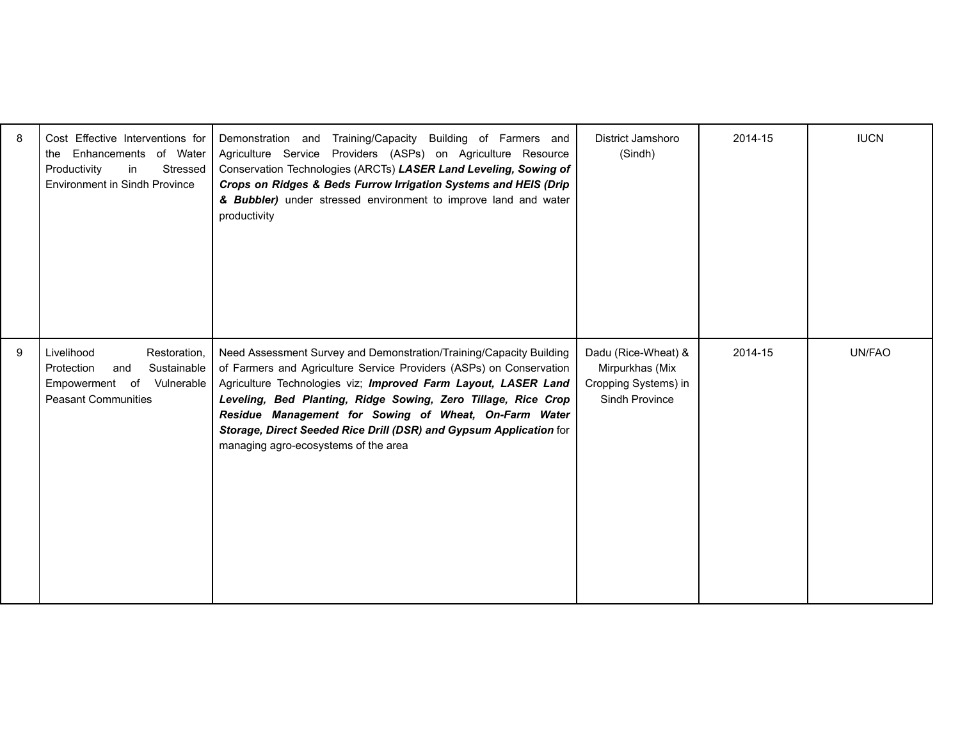| 8 | Cost Effective Interventions for<br>the Enhancements of Water<br>in<br>Productivity<br>Stressed<br><b>Environment in Sindh Province</b> | Demonstration and Training/Capacity Building of Farmers and<br>Agriculture Service Providers (ASPs) on Agriculture Resource<br>Conservation Technologies (ARCTs) LASER Land Leveling, Sowing of<br>Crops on Ridges & Beds Furrow Irrigation Systems and HEIS (Drip<br>& Bubbler) under stressed environment to improve land and water<br>productivity                                                                                                | District Jamshoro<br>(Sindh)                                                     | 2014-15 | <b>IUCN</b> |
|---|-----------------------------------------------------------------------------------------------------------------------------------------|------------------------------------------------------------------------------------------------------------------------------------------------------------------------------------------------------------------------------------------------------------------------------------------------------------------------------------------------------------------------------------------------------------------------------------------------------|----------------------------------------------------------------------------------|---------|-------------|
| 9 | Livelihood<br>Restoration,<br>Protection<br>Sustainable<br>and<br>Empowerment of<br>Vulnerable<br><b>Peasant Communities</b>            | Need Assessment Survey and Demonstration/Training/Capacity Building<br>of Farmers and Agriculture Service Providers (ASPs) on Conservation<br>Agriculture Technologies viz; Improved Farm Layout, LASER Land<br>Leveling, Bed Planting, Ridge Sowing, Zero Tillage, Rice Crop<br>Residue Management for Sowing of Wheat, On-Farm Water<br>Storage, Direct Seeded Rice Drill (DSR) and Gypsum Application for<br>managing agro-ecosystems of the area | Dadu (Rice-Wheat) &<br>Mirpurkhas (Mix<br>Cropping Systems) in<br>Sindh Province | 2014-15 | UN/FAO      |